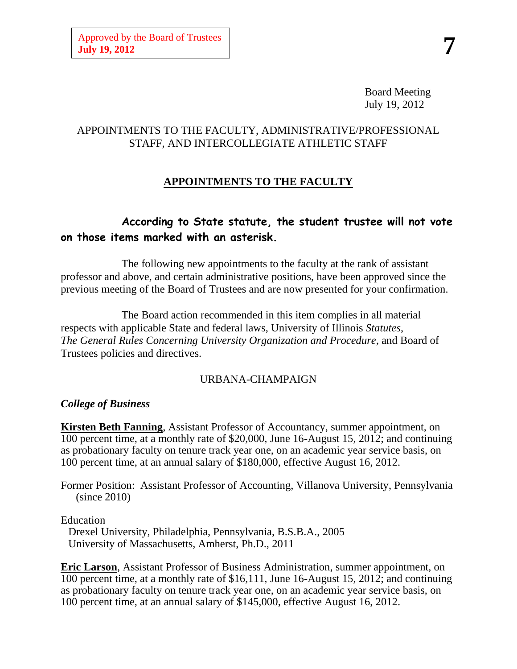Board Meeting July 19, 2012

#### APPOINTMENTS TO THE FACULTY, ADMINISTRATIVE/PROFESSIONAL STAFF, AND INTERCOLLEGIATE ATHLETIC STAFF

# **APPOINTMENTS TO THE FACULTY**

# **According to State statute, the student trustee will not vote on those items marked with an asterisk.**

The following new appointments to the faculty at the rank of assistant professor and above, and certain administrative positions, have been approved since the previous meeting of the Board of Trustees and are now presented for your confirmation.

The Board action recommended in this item complies in all material respects with applicable State and federal laws, University of Illinois *Statutes*, *The General Rules Concerning University Organization and Procedure*, and Board of Trustees policies and directives.

#### URBANA-CHAMPAIGN

#### *College of Business*

**Kirsten Beth Fanning**, Assistant Professor of Accountancy, summer appointment, on 100 percent time, at a monthly rate of \$20,000, June 16-August 15, 2012; and continuing as probationary faculty on tenure track year one, on an academic year service basis, on 100 percent time, at an annual salary of \$180,000, effective August 16, 2012.

Former Position: Assistant Professor of Accounting, Villanova University, Pennsylvania (since 2010)

#### Education

Drexel University, Philadelphia, Pennsylvania, B.S.B.A., 2005 University of Massachusetts, Amherst, Ph.D., 2011

**Eric Larson**, Assistant Professor of Business Administration, summer appointment, on 100 percent time, at a monthly rate of \$16,111, June 16-August 15, 2012; and continuing as probationary faculty on tenure track year one, on an academic year service basis, on 100 percent time, at an annual salary of \$145,000, effective August 16, 2012.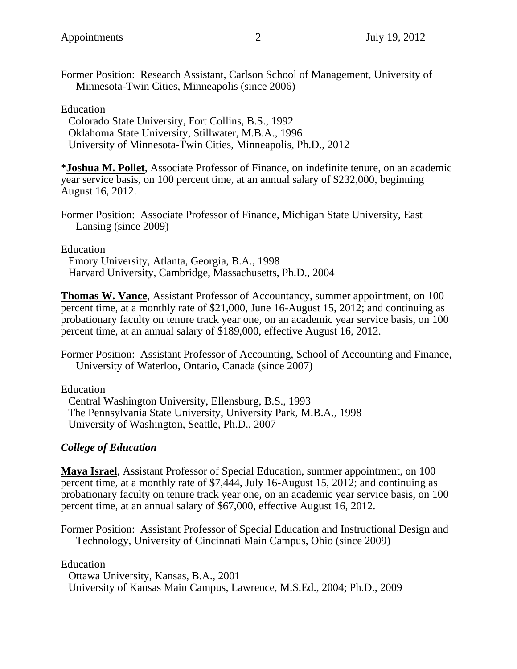Former Position: Research Assistant, Carlson School of Management, University of Minnesota-Twin Cities, Minneapolis (since 2006)

Education

Colorado State University, Fort Collins, B.S., 1992 Oklahoma State University, Stillwater, M.B.A., 1996 University of Minnesota-Twin Cities, Minneapolis, Ph.D., 2012

\***Joshua M. Pollet**, Associate Professor of Finance, on indefinite tenure, on an academic year service basis, on 100 percent time, at an annual salary of \$232,000, beginning August 16, 2012.

Former Position: Associate Professor of Finance, Michigan State University, East Lansing (since 2009)

Education

Emory University, Atlanta, Georgia, B.A., 1998 Harvard University, Cambridge, Massachusetts, Ph.D., 2004

**Thomas W. Vance**, Assistant Professor of Accountancy, summer appointment, on 100 percent time, at a monthly rate of \$21,000, June 16-August 15, 2012; and continuing as probationary faculty on tenure track year one, on an academic year service basis, on 100 percent time, at an annual salary of \$189,000, effective August 16, 2012.

Former Position: Assistant Professor of Accounting, School of Accounting and Finance, University of Waterloo, Ontario, Canada (since 2007)

Education

Central Washington University, Ellensburg, B.S., 1993 The Pennsylvania State University, University Park, M.B.A., 1998 University of Washington, Seattle, Ph.D., 2007

#### *College of Education*

**Maya Israel**, Assistant Professor of Special Education, summer appointment, on 100 percent time, at a monthly rate of \$7,444, July 16-August 15, 2012; and continuing as probationary faculty on tenure track year one, on an academic year service basis, on 100 percent time, at an annual salary of \$67,000, effective August 16, 2012.

Former Position: Assistant Professor of Special Education and Instructional Design and Technology, University of Cincinnati Main Campus, Ohio (since 2009)

Education

Ottawa University, Kansas, B.A., 2001 University of Kansas Main Campus, Lawrence, M.S.Ed., 2004; Ph.D., 2009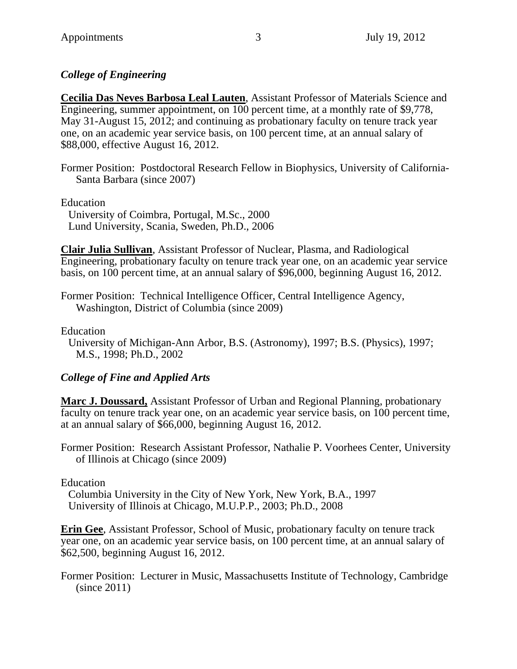### *College of Engineering*

**Cecilia Das Neves Barbosa Leal Lauten**, Assistant Professor of Materials Science and Engineering, summer appointment, on 100 percent time, at a monthly rate of \$9,778, May 31-August 15, 2012; and continuing as probationary faculty on tenure track year one, on an academic year service basis, on 100 percent time, at an annual salary of \$88,000, effective August 16, 2012.

Former Position: Postdoctoral Research Fellow in Biophysics, University of California-Santa Barbara (since 2007)

Education

University of Coimbra, Portugal, M.Sc., 2000 Lund University, Scania, Sweden, Ph.D., 2006

**Clair Julia Sullivan**, Assistant Professor of Nuclear, Plasma, and Radiological Engineering, probationary faculty on tenure track year one, on an academic year service basis, on 100 percent time, at an annual salary of \$96,000, beginning August 16, 2012.

Former Position: Technical Intelligence Officer, Central Intelligence Agency, Washington, District of Columbia (since 2009)

Education

University of Michigan-Ann Arbor, B.S. (Astronomy), 1997; B.S. (Physics), 1997; M.S., 1998; Ph.D., 2002

### *College of Fine and Applied Arts*

**Marc J. Doussard,** Assistant Professor of Urban and Regional Planning, probationary faculty on tenure track year one, on an academic year service basis, on 100 percent time, at an annual salary of \$66,000, beginning August 16, 2012.

Former Position: Research Assistant Professor, Nathalie P. Voorhees Center, University of Illinois at Chicago (since 2009)

Education

Columbia University in the City of New York, New York, B.A., 1997 University of Illinois at Chicago, M.U.P.P., 2003; Ph.D., 2008

**Erin Gee**, Assistant Professor, School of Music, probationary faculty on tenure track year one, on an academic year service basis, on 100 percent time, at an annual salary of \$62,500, beginning August 16, 2012.

Former Position: Lecturer in Music, Massachusetts Institute of Technology, Cambridge (since 2011)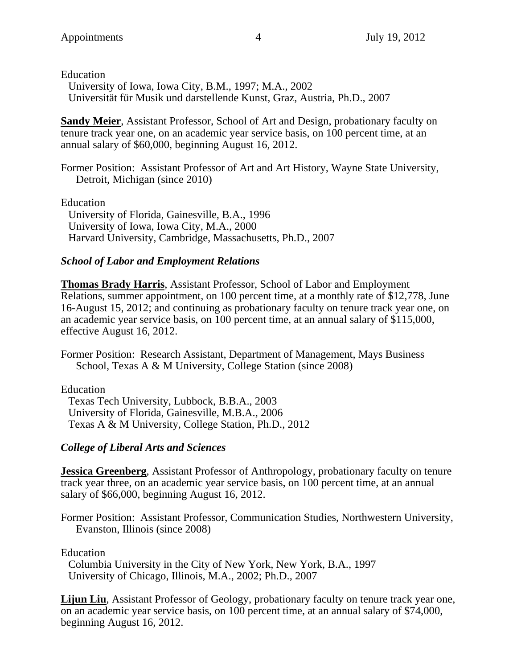Education

University of Iowa, Iowa City, B.M., 1997; M.A., 2002 Universität für Musik und darstellende Kunst, Graz, Austria, Ph.D., 2007

**Sandy Meier**, Assistant Professor, School of Art and Design, probationary faculty on tenure track year one, on an academic year service basis, on 100 percent time, at an annual salary of \$60,000, beginning August 16, 2012.

Former Position: Assistant Professor of Art and Art History, Wayne State University, Detroit, Michigan (since 2010)

Education

University of Florida, Gainesville, B.A., 1996 University of Iowa, Iowa City, M.A., 2000 Harvard University, Cambridge, Massachusetts, Ph.D., 2007

### *School of Labor and Employment Relations*

**Thomas Brady Harris**, Assistant Professor, School of Labor and Employment Relations, summer appointment, on 100 percent time, at a monthly rate of \$12,778, June 16-August 15, 2012; and continuing as probationary faculty on tenure track year one, on an academic year service basis, on 100 percent time, at an annual salary of \$115,000, effective August 16, 2012.

Former Position: Research Assistant, Department of Management, Mays Business School, Texas A & M University, College Station (since 2008)

Education

Texas Tech University, Lubbock, B.B.A., 2003 University of Florida, Gainesville, M.B.A., 2006 Texas A & M University, College Station, Ph.D., 2012

### *College of Liberal Arts and Sciences*

**Jessica Greenberg**, Assistant Professor of Anthropology, probationary faculty on tenure track year three, on an academic year service basis, on 100 percent time, at an annual salary of \$66,000, beginning August 16, 2012.

Former Position: Assistant Professor, Communication Studies, Northwestern University, Evanston, Illinois (since 2008)

Education

Columbia University in the City of New York, New York, B.A., 1997 University of Chicago, Illinois, M.A., 2002; Ph.D., 2007

**Lijun Liu**, Assistant Professor of Geology, probationary faculty on tenure track year one, on an academic year service basis, on 100 percent time, at an annual salary of \$74,000, beginning August 16, 2012.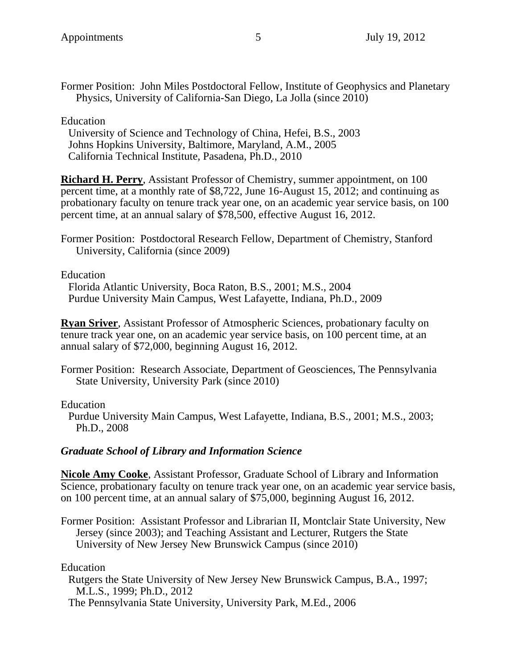Former Position: John Miles Postdoctoral Fellow, Institute of Geophysics and Planetary Physics, University of California-San Diego, La Jolla (since 2010)

Education

University of Science and Technology of China, Hefei, B.S., 2003 Johns Hopkins University, Baltimore, Maryland, A.M., 2005 California Technical Institute, Pasadena, Ph.D., 2010

**Richard H. Perry**, Assistant Professor of Chemistry, summer appointment, on 100 percent time, at a monthly rate of \$8,722, June 16-August 15, 2012; and continuing as probationary faculty on tenure track year one, on an academic year service basis, on 100 percent time, at an annual salary of \$78,500, effective August 16, 2012.

Former Position: Postdoctoral Research Fellow, Department of Chemistry, Stanford University, California (since 2009)

Education

Florida Atlantic University, Boca Raton, B.S., 2001; M.S., 2004 Purdue University Main Campus, West Lafayette, Indiana, Ph.D., 2009

**Ryan Sriver**, Assistant Professor of Atmospheric Sciences, probationary faculty on tenure track year one, on an academic year service basis, on 100 percent time, at an annual salary of \$72,000, beginning August 16, 2012.

Former Position: Research Associate, Department of Geosciences, The Pennsylvania State University, University Park (since 2010)

Education

Purdue University Main Campus, West Lafayette, Indiana, B.S., 2001; M.S., 2003; Ph.D., 2008

#### *Graduate School of Library and Information Science*

**Nicole Amy Cooke**, Assistant Professor, Graduate School of Library and Information Science, probationary faculty on tenure track year one, on an academic year service basis, on 100 percent time, at an annual salary of \$75,000, beginning August 16, 2012.

Former Position: Assistant Professor and Librarian II, Montclair State University, New Jersey (since 2003); and Teaching Assistant and Lecturer, Rutgers the State University of New Jersey New Brunswick Campus (since 2010)

Education

Rutgers the State University of New Jersey New Brunswick Campus, B.A., 1997; M.L.S., 1999; Ph.D., 2012

The Pennsylvania State University, University Park, M.Ed., 2006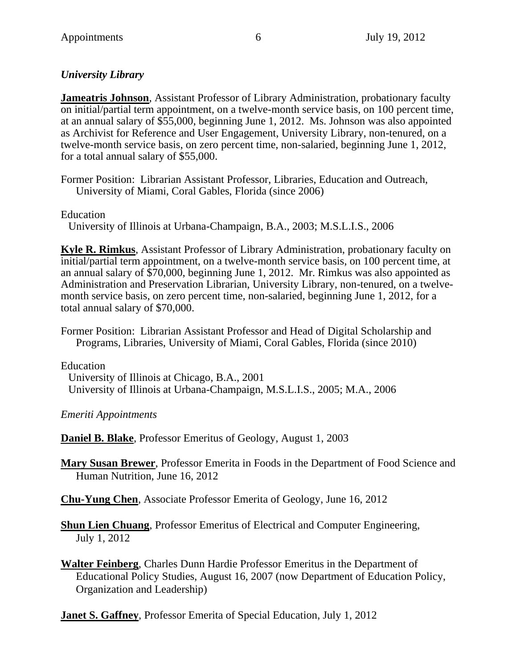# *University Library*

**Jameatris Johnson**, Assistant Professor of Library Administration, probationary faculty on initial/partial term appointment, on a twelve-month service basis, on 100 percent time, at an annual salary of \$55,000, beginning June 1, 2012. Ms. Johnson was also appointed as Archivist for Reference and User Engagement, University Library, non-tenured, on a twelve-month service basis, on zero percent time, non-salaried, beginning June 1, 2012, for a total annual salary of \$55,000.

Former Position: Librarian Assistant Professor, Libraries, Education and Outreach, University of Miami, Coral Gables, Florida (since 2006)

Education

University of Illinois at Urbana-Champaign, B.A., 2003; M.S.L.I.S., 2006

**Kyle R. Rimkus**, Assistant Professor of Library Administration, probationary faculty on initial/partial term appointment, on a twelve-month service basis, on 100 percent time, at an annual salary of \$70,000, beginning June 1, 2012. Mr. Rimkus was also appointed as Administration and Preservation Librarian, University Library, non-tenured, on a twelvemonth service basis, on zero percent time, non-salaried, beginning June 1, 2012, for a total annual salary of \$70,000.

Former Position: Librarian Assistant Professor and Head of Digital Scholarship and Programs, Libraries, University of Miami, Coral Gables, Florida (since 2010)

Education

University of Illinois at Chicago, B.A., 2001 University of Illinois at Urbana-Champaign, M.S.L.I.S., 2005; M.A., 2006

*Emeriti Appointments*

**Daniel B. Blake**, Professor Emeritus of Geology, August 1, 2003

**Mary Susan Brewer**, Professor Emerita in Foods in the Department of Food Science and Human Nutrition, June 16, 2012

**Chu-Yung Chen**, Associate Professor Emerita of Geology, June 16, 2012

**Shun Lien Chuang**, Professor Emeritus of Electrical and Computer Engineering, July 1, 2012

**Walter Feinberg**, Charles Dunn Hardie Professor Emeritus in the Department of Educational Policy Studies, August 16, 2007 (now Department of Education Policy, Organization and Leadership)

**Janet S. Gaffney**, Professor Emerita of Special Education, July 1, 2012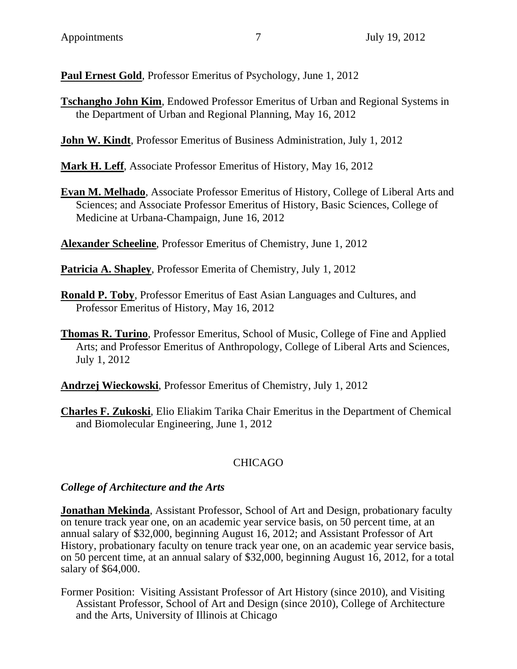**Paul Ernest Gold**, Professor Emeritus of Psychology, June 1, 2012

**Tschangho John Kim**, Endowed Professor Emeritus of Urban and Regional Systems in the Department of Urban and Regional Planning, May 16, 2012

**John W. Kindt**, Professor Emeritus of Business Administration, July 1, 2012

**Mark H. Leff**, Associate Professor Emeritus of History, May 16, 2012

**Evan M. Melhado**, Associate Professor Emeritus of History, College of Liberal Arts and Sciences; and Associate Professor Emeritus of History, Basic Sciences, College of Medicine at Urbana-Champaign, June 16, 2012

**Alexander Scheeline**, Professor Emeritus of Chemistry, June 1, 2012

**Patricia A. Shapley**, Professor Emerita of Chemistry, July 1, 2012

- **Ronald P. Toby**, Professor Emeritus of East Asian Languages and Cultures, and Professor Emeritus of History, May 16, 2012
- **Thomas R. Turino**, Professor Emeritus, School of Music, College of Fine and Applied Arts; and Professor Emeritus of Anthropology, College of Liberal Arts and Sciences, July 1, 2012

**Andrzej Wieckowski**, Professor Emeritus of Chemistry, July 1, 2012

**Charles F. Zukoski**, Elio Eliakim Tarika Chair Emeritus in the Department of Chemical and Biomolecular Engineering, June 1, 2012

# CHICAGO

### *College of Architecture and the Arts*

**Jonathan Mekinda**, Assistant Professor, School of Art and Design, probationary faculty on tenure track year one, on an academic year service basis, on 50 percent time, at an annual salary of \$32,000, beginning August 16, 2012; and Assistant Professor of Art History, probationary faculty on tenure track year one, on an academic year service basis, on 50 percent time, at an annual salary of \$32,000, beginning August 16, 2012, for a total salary of \$64,000.

Former Position: Visiting Assistant Professor of Art History (since 2010), and Visiting Assistant Professor, School of Art and Design (since 2010), College of Architecture and the Arts, University of Illinois at Chicago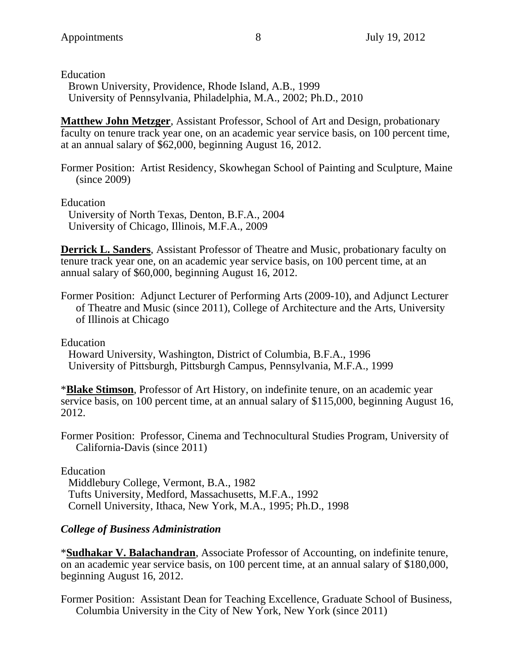Education

Brown University, Providence, Rhode Island, A.B., 1999 University of Pennsylvania, Philadelphia, M.A., 2002; Ph.D., 2010

**Matthew John Metzger**, Assistant Professor, School of Art and Design, probationary faculty on tenure track year one, on an academic year service basis, on 100 percent time, at an annual salary of \$62,000, beginning August 16, 2012.

Former Position: Artist Residency, Skowhegan School of Painting and Sculpture, Maine (since 2009)

Education

University of North Texas, Denton, B.F.A., 2004 University of Chicago, Illinois, M.F.A., 2009

**Derrick L. Sanders**, Assistant Professor of Theatre and Music, probationary faculty on tenure track year one, on an academic year service basis, on 100 percent time, at an annual salary of \$60,000, beginning August 16, 2012.

Former Position: Adjunct Lecturer of Performing Arts (2009-10), and Adjunct Lecturer of Theatre and Music (since 2011), College of Architecture and the Arts, University of Illinois at Chicago

Education

Howard University, Washington, District of Columbia, B.F.A., 1996 University of Pittsburgh, Pittsburgh Campus, Pennsylvania, M.F.A., 1999

\***Blake Stimson**, Professor of Art History, on indefinite tenure, on an academic year service basis, on 100 percent time, at an annual salary of \$115,000, beginning August 16, 2012.

Former Position: Professor, Cinema and Technocultural Studies Program, University of California-Davis (since 2011)

Education

Middlebury College, Vermont, B.A., 1982 Tufts University, Medford, Massachusetts, M.F.A., 1992 Cornell University, Ithaca, New York, M.A., 1995; Ph.D., 1998

### *College of Business Administration*

\***Sudhakar V. Balachandran**, Associate Professor of Accounting, on indefinite tenure, on an academic year service basis, on 100 percent time, at an annual salary of \$180,000, beginning August 16, 2012.

Former Position: Assistant Dean for Teaching Excellence, Graduate School of Business, Columbia University in the City of New York, New York (since 2011)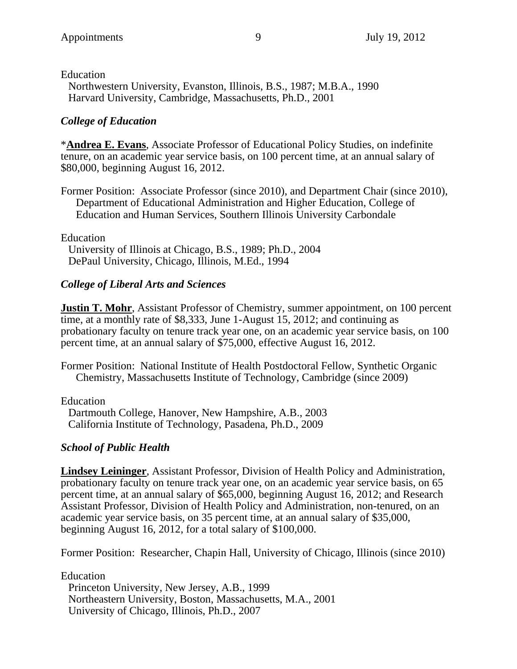Education Northwestern University, Evanston, Illinois, B.S., 1987; M.B.A., 1990 Harvard University, Cambridge, Massachusetts, Ph.D., 2001

#### *College of Education*

\***Andrea E. Evans**, Associate Professor of Educational Policy Studies, on indefinite tenure, on an academic year service basis, on 100 percent time, at an annual salary of \$80,000, beginning August 16, 2012.

Former Position: Associate Professor (since 2010), and Department Chair (since 2010), Department of Educational Administration and Higher Education, College of Education and Human Services, Southern Illinois University Carbondale

Education

University of Illinois at Chicago, B.S., 1989; Ph.D., 2004 DePaul University, Chicago, Illinois, M.Ed., 1994

#### *College of Liberal Arts and Sciences*

**Justin T. Mohr**, Assistant Professor of Chemistry, summer appointment, on 100 percent time, at a monthly rate of \$8,333, June 1-August 15, 2012; and continuing as probationary faculty on tenure track year one, on an academic year service basis, on 100 percent time, at an annual salary of \$75,000, effective August 16, 2012.

Former Position: National Institute of Health Postdoctoral Fellow, Synthetic Organic Chemistry, Massachusetts Institute of Technology, Cambridge (since 2009)

Education

Dartmouth College, Hanover, New Hampshire, A.B., 2003 California Institute of Technology, Pasadena, Ph.D., 2009

#### *School of Public Health*

**Lindsey Leininger**, Assistant Professor, Division of Health Policy and Administration, probationary faculty on tenure track year one, on an academic year service basis, on 65 percent time, at an annual salary of \$65,000, beginning August 16, 2012; and Research Assistant Professor, Division of Health Policy and Administration, non-tenured, on an academic year service basis, on 35 percent time, at an annual salary of \$35,000, beginning August 16, 2012, for a total salary of \$100,000.

Former Position: Researcher, Chapin Hall, University of Chicago, Illinois (since 2010)

Education

Princeton University, New Jersey, A.B., 1999 Northeastern University, Boston, Massachusetts, M.A., 2001 University of Chicago, Illinois, Ph.D., 2007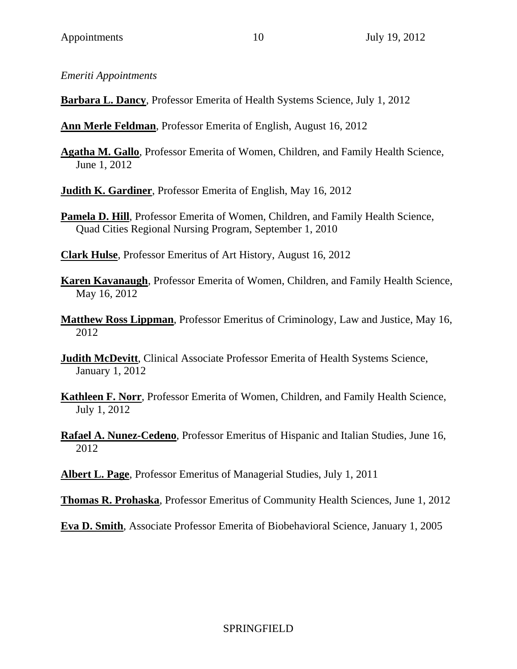*Emeriti Appointments*

**Barbara L. Dancy**, Professor Emerita of Health Systems Science, July 1, 2012

**Ann Merle Feldman**, Professor Emerita of English, August 16, 2012

**Agatha M. Gallo**, Professor Emerita of Women, Children, and Family Health Science, June 1, 2012

**Judith K. Gardiner**, Professor Emerita of English, May 16, 2012

**Pamela D. Hill**, Professor Emerita of Women, Children, and Family Health Science, Quad Cities Regional Nursing Program, September 1, 2010

**Clark Hulse**, Professor Emeritus of Art History, August 16, 2012

**Karen Kavanaugh**, Professor Emerita of Women, Children, and Family Health Science, May 16, 2012

**Matthew Ross Lippman**, Professor Emeritus of Criminology, Law and Justice, May 16, 2012

**Judith McDevitt**, Clinical Associate Professor Emerita of Health Systems Science, January 1, 2012

**Kathleen F. Norr**, Professor Emerita of Women, Children, and Family Health Science, July 1, 2012

**Rafael A. Nunez-Cedeno**, Professor Emeritus of Hispanic and Italian Studies, June 16, 2012

**Albert L. Page**, Professor Emeritus of Managerial Studies, July 1, 2011

**Thomas R. Prohaska**, Professor Emeritus of Community Health Sciences, June 1, 2012

**Eva D. Smith**, Associate Professor Emerita of Biobehavioral Science, January 1, 2005

### SPRINGFIELD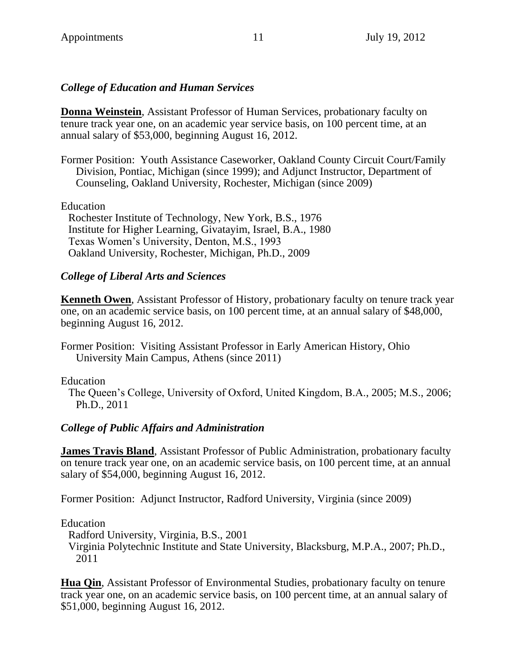### *College of Education and Human Services*

**Donna Weinstein**, Assistant Professor of Human Services, probationary faculty on tenure track year one, on an academic year service basis, on 100 percent time, at an annual salary of \$53,000, beginning August 16, 2012.

Former Position: Youth Assistance Caseworker, Oakland County Circuit Court/Family Division, Pontiac, Michigan (since 1999); and Adjunct Instructor, Department of Counseling, Oakland University, Rochester, Michigan (since 2009)

Education

Rochester Institute of Technology, New York, B.S., 1976 Institute for Higher Learning, Givatayim, Israel, B.A., 1980 Texas Women's University, Denton, M.S., 1993 Oakland University, Rochester, Michigan, Ph.D., 2009

#### *College of Liberal Arts and Sciences*

**Kenneth Owen**, Assistant Professor of History, probationary faculty on tenure track year one, on an academic service basis, on 100 percent time, at an annual salary of \$48,000, beginning August 16, 2012.

Former Position: Visiting Assistant Professor in Early American History, Ohio University Main Campus, Athens (since 2011)

Education

The Queen's College, University of Oxford, United Kingdom, B.A., 2005; M.S., 2006; Ph.D., 2011

#### *College of Public Affairs and Administration*

**James Travis Bland**, Assistant Professor of Public Administration, probationary faculty on tenure track year one, on an academic service basis, on 100 percent time, at an annual salary of \$54,000, beginning August 16, 2012.

Former Position: Adjunct Instructor, Radford University, Virginia (since 2009)

Education

Radford University, Virginia, B.S., 2001

Virginia Polytechnic Institute and State University, Blacksburg, M.P.A., 2007; Ph.D., 2011

**Hua Qin**, Assistant Professor of Environmental Studies, probationary faculty on tenure track year one, on an academic service basis, on 100 percent time, at an annual salary of \$51,000, beginning August 16, 2012.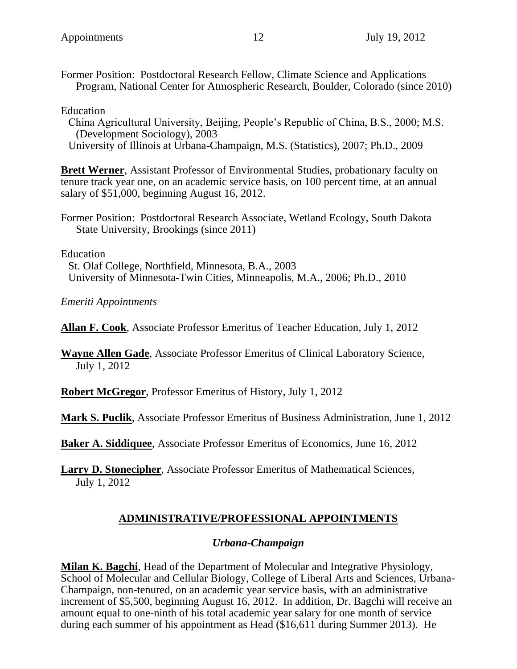Former Position: Postdoctoral Research Fellow, Climate Science and Applications Program, National Center for Atmospheric Research, Boulder, Colorado (since 2010)

Education

China Agricultural University, Beijing, People's Republic of China, B.S., 2000; M.S. (Development Sociology), 2003 University of Illinois at Urbana-Champaign, M.S. (Statistics), 2007; Ph.D., 2009

**Brett Werner**, Assistant Professor of Environmental Studies, probationary faculty on tenure track year one, on an academic service basis, on 100 percent time, at an annual salary of \$51,000, beginning August 16, 2012.

Former Position: Postdoctoral Research Associate, Wetland Ecology, South Dakota State University, Brookings (since 2011)

Education

St. Olaf College, Northfield, Minnesota, B.A., 2003 University of Minnesota-Twin Cities, Minneapolis, M.A., 2006; Ph.D., 2010

*Emeriti Appointments*

**Allan F. Cook**, Associate Professor Emeritus of Teacher Education, July 1, 2012

**Wayne Allen Gade**, Associate Professor Emeritus of Clinical Laboratory Science, July 1, 2012

**Robert McGregor**, Professor Emeritus of History, July 1, 2012

**Mark S. Puclik**, Associate Professor Emeritus of Business Administration, June 1, 2012

**Baker A. Siddiquee**, Associate Professor Emeritus of Economics, June 16, 2012

**Larry D. Stonecipher**, Associate Professor Emeritus of Mathematical Sciences, July 1, 2012

### **ADMINISTRATIVE/PROFESSIONAL APPOINTMENTS**

#### *Urbana-Champaign*

**Milan K. Bagchi**, Head of the Department of Molecular and Integrative Physiology, School of Molecular and Cellular Biology, College of Liberal Arts and Sciences, Urbana-Champaign, non-tenured, on an academic year service basis, with an administrative increment of \$5,500, beginning August 16, 2012. In addition, Dr. Bagchi will receive an amount equal to one-ninth of his total academic year salary for one month of service during each summer of his appointment as Head (\$16,611 during Summer 2013). He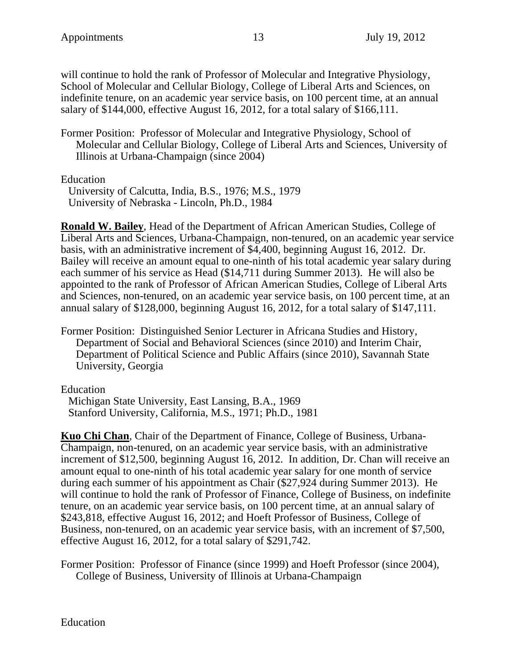will continue to hold the rank of Professor of Molecular and Integrative Physiology, School of Molecular and Cellular Biology, College of Liberal Arts and Sciences, on indefinite tenure, on an academic year service basis, on 100 percent time, at an annual salary of \$144,000, effective August 16, 2012, for a total salary of \$166,111.

Former Position: Professor of Molecular and Integrative Physiology, School of Molecular and Cellular Biology, College of Liberal Arts and Sciences, University of Illinois at Urbana-Champaign (since 2004)

Education

University of Calcutta, India, B.S., 1976; M.S., 1979 University of Nebraska - Lincoln, Ph.D., 1984

**Ronald W. Bailey**, Head of the Department of African American Studies, College of Liberal Arts and Sciences, Urbana-Champaign, non-tenured, on an academic year service basis, with an administrative increment of \$4,400, beginning August 16, 2012. Dr. Bailey will receive an amount equal to one-ninth of his total academic year salary during each summer of his service as Head (\$14,711 during Summer 2013). He will also be appointed to the rank of Professor of African American Studies, College of Liberal Arts and Sciences, non-tenured, on an academic year service basis, on 100 percent time, at an annual salary of \$128,000, beginning August 16, 2012, for a total salary of \$147,111.

Former Position: Distinguished Senior Lecturer in Africana Studies and History, Department of Social and Behavioral Sciences (since 2010) and Interim Chair, Department of Political Science and Public Affairs (since 2010), Savannah State University, Georgia

Education

Michigan State University, East Lansing, B.A., 1969 Stanford University, California, M.S., 1971; Ph.D., 1981

**Kuo Chi Chan**, Chair of the Department of Finance, College of Business, Urbana-Champaign, non-tenured, on an academic year service basis, with an administrative increment of \$12,500, beginning August 16, 2012. In addition, Dr. Chan will receive an amount equal to one-ninth of his total academic year salary for one month of service during each summer of his appointment as Chair (\$27,924 during Summer 2013). He will continue to hold the rank of Professor of Finance, College of Business, on indefinite tenure, on an academic year service basis, on 100 percent time, at an annual salary of \$243,818, effective August 16, 2012; and Hoeft Professor of Business, College of Business, non-tenured, on an academic year service basis, with an increment of \$7,500, effective August 16, 2012, for a total salary of \$291,742.

Former Position: Professor of Finance (since 1999) and Hoeft Professor (since 2004), College of Business, University of Illinois at Urbana-Champaign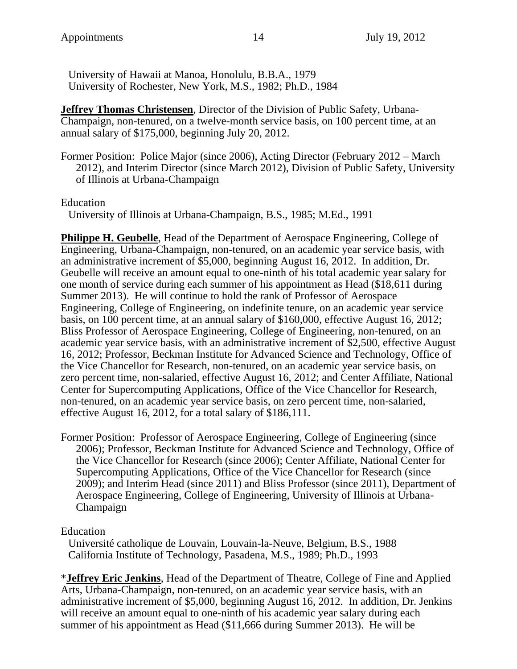University of Hawaii at Manoa, Honolulu, B.B.A., 1979 University of Rochester, New York, M.S., 1982; Ph.D., 1984

**Jeffrey Thomas Christensen**, Director of the Division of Public Safety, Urbana-Champaign, non-tenured, on a twelve-month service basis, on 100 percent time, at an annual salary of \$175,000, beginning July 20, 2012.

Former Position: Police Major (since 2006), Acting Director (February 2012 – March 2012), and Interim Director (since March 2012), Division of Public Safety, University of Illinois at Urbana-Champaign

Education

University of Illinois at Urbana-Champaign, B.S., 1985; M.Ed., 1991

**Philippe H. Geubelle**, Head of the Department of Aerospace Engineering, College of Engineering, Urbana-Champaign, non-tenured, on an academic year service basis, with an administrative increment of \$5,000, beginning August 16, 2012. In addition, Dr. Geubelle will receive an amount equal to one-ninth of his total academic year salary for one month of service during each summer of his appointment as Head (\$18,611 during Summer 2013). He will continue to hold the rank of Professor of Aerospace Engineering, College of Engineering, on indefinite tenure, on an academic year service basis, on 100 percent time, at an annual salary of \$160,000, effective August 16, 2012; Bliss Professor of Aerospace Engineering, College of Engineering, non-tenured, on an academic year service basis, with an administrative increment of \$2,500, effective August 16, 2012; Professor, Beckman Institute for Advanced Science and Technology, Office of the Vice Chancellor for Research, non-tenured, on an academic year service basis, on zero percent time, non-salaried, effective August 16, 2012; and Center Affiliate, National Center for Supercomputing Applications, Office of the Vice Chancellor for Research, non-tenured, on an academic year service basis, on zero percent time, non-salaried, effective August 16, 2012, for a total salary of \$186,111.

Former Position: Professor of Aerospace Engineering, College of Engineering (since 2006); Professor, Beckman Institute for Advanced Science and Technology, Office of the Vice Chancellor for Research (since 2006); Center Affiliate, National Center for Supercomputing Applications, Office of the Vice Chancellor for Research (since 2009); and Interim Head (since 2011) and Bliss Professor (since 2011), Department of Aerospace Engineering, College of Engineering, University of Illinois at Urbana-Champaign

Education

Université catholique de Louvain, Louvain-la-Neuve, Belgium, B.S., 1988 California Institute of Technology, Pasadena, M.S., 1989; Ph.D., 1993

\***Jeffrey Eric Jenkins**, Head of the Department of Theatre, College of Fine and Applied Arts, Urbana-Champaign, non-tenured, on an academic year service basis, with an administrative increment of \$5,000, beginning August 16, 2012. In addition, Dr. Jenkins will receive an amount equal to one-ninth of his academic year salary during each summer of his appointment as Head (\$11,666 during Summer 2013). He will be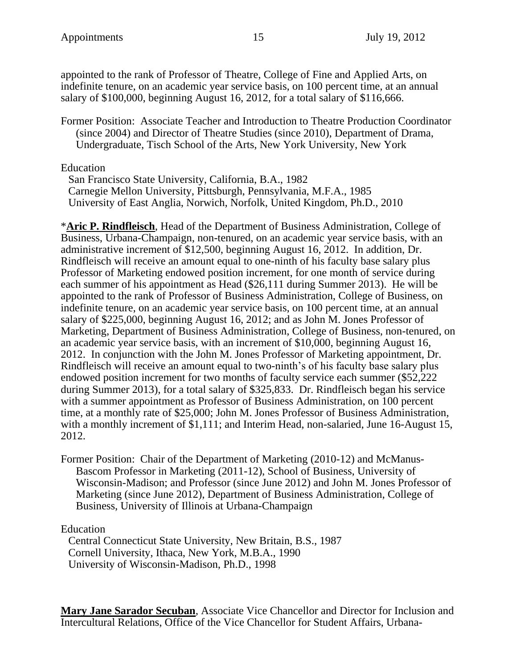appointed to the rank of Professor of Theatre, College of Fine and Applied Arts, on indefinite tenure, on an academic year service basis, on 100 percent time, at an annual salary of \$100,000, beginning August 16, 2012, for a total salary of \$116,666.

Former Position: Associate Teacher and Introduction to Theatre Production Coordinator (since 2004) and Director of Theatre Studies (since 2010), Department of Drama, Undergraduate, Tisch School of the Arts, New York University, New York

Education

San Francisco State University, California, B.A., 1982 Carnegie Mellon University, Pittsburgh, Pennsylvania, M.F.A., 1985 University of East Anglia, Norwich, Norfolk, United Kingdom, Ph.D., 2010

\***Aric P. Rindfleisch**, Head of the Department of Business Administration, College of Business, Urbana-Champaign, non-tenured, on an academic year service basis, with an administrative increment of \$12,500, beginning August 16, 2012. In addition, Dr. Rindfleisch will receive an amount equal to one-ninth of his faculty base salary plus Professor of Marketing endowed position increment, for one month of service during each summer of his appointment as Head (\$26,111 during Summer 2013). He will be appointed to the rank of Professor of Business Administration, College of Business, on indefinite tenure, on an academic year service basis, on 100 percent time, at an annual salary of \$225,000, beginning August 16, 2012; and as John M. Jones Professor of Marketing, Department of Business Administration, College of Business, non-tenured, on an academic year service basis, with an increment of \$10,000, beginning August 16, 2012. In conjunction with the John M. Jones Professor of Marketing appointment, Dr. Rindfleisch will receive an amount equal to two-ninth's of his faculty base salary plus endowed position increment for two months of faculty service each summer (\$52,222 during Summer 2013), for a total salary of \$325,833. Dr. Rindfleisch began his service with a summer appointment as Professor of Business Administration, on 100 percent time, at a monthly rate of \$25,000; John M. Jones Professor of Business Administration, with a monthly increment of \$1,111; and Interim Head, non-salaried, June 16-August 15, 2012.

Former Position: Chair of the Department of Marketing (2010-12) and McManus-Bascom Professor in Marketing (2011-12), School of Business, University of Wisconsin-Madison; and Professor (since June 2012) and John M. Jones Professor of Marketing (since June 2012), Department of Business Administration, College of Business, University of Illinois at Urbana-Champaign

Education

Central Connecticut State University, New Britain, B.S., 1987 Cornell University, Ithaca, New York, M.B.A., 1990 University of Wisconsin-Madison, Ph.D., 1998

**Mary Jane Sarador Secuban**, Associate Vice Chancellor and Director for Inclusion and Intercultural Relations, Office of the Vice Chancellor for Student Affairs, Urbana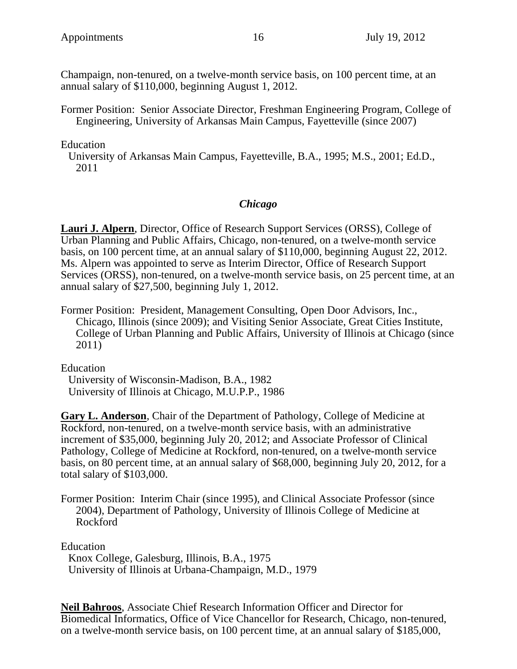Champaign, non-tenured, on a twelve-month service basis, on 100 percent time, at an annual salary of \$110,000, beginning August 1, 2012.

Former Position: Senior Associate Director, Freshman Engineering Program, College of Engineering, University of Arkansas Main Campus, Fayetteville (since 2007)

Education

University of Arkansas Main Campus, Fayetteville, B.A., 1995; M.S., 2001; Ed.D., 2011

#### *Chicago*

**Lauri J. Alpern**, Director, Office of Research Support Services (ORSS), College of Urban Planning and Public Affairs, Chicago, non-tenured, on a twelve-month service basis, on 100 percent time, at an annual salary of \$110,000, beginning August 22, 2012. Ms. Alpern was appointed to serve as Interim Director, Office of Research Support Services (ORSS), non-tenured, on a twelve-month service basis, on 25 percent time, at an annual salary of \$27,500, beginning July 1, 2012.

Former Position: President, Management Consulting, Open Door Advisors, Inc., Chicago, Illinois (since 2009); and Visiting Senior Associate, Great Cities Institute, College of Urban Planning and Public Affairs, University of Illinois at Chicago (since 2011)

Education

University of Wisconsin-Madison, B.A., 1982 University of Illinois at Chicago, M.U.P.P., 1986

**Gary L. Anderson**, Chair of the Department of Pathology, College of Medicine at Rockford, non-tenured, on a twelve-month service basis, with an administrative increment of \$35,000, beginning July 20, 2012; and Associate Professor of Clinical Pathology, College of Medicine at Rockford, non-tenured, on a twelve-month service basis, on 80 percent time, at an annual salary of \$68,000, beginning July 20, 2012, for a total salary of \$103,000.

Former Position: Interim Chair (since 1995), and Clinical Associate Professor (since 2004), Department of Pathology, University of Illinois College of Medicine at Rockford

Education

Knox College, Galesburg, Illinois, B.A., 1975 University of Illinois at Urbana-Champaign, M.D., 1979

**Neil Bahroos**, Associate Chief Research Information Officer and Director for Biomedical Informatics, Office of Vice Chancellor for Research, Chicago, non-tenured, on a twelve-month service basis, on 100 percent time, at an annual salary of \$185,000,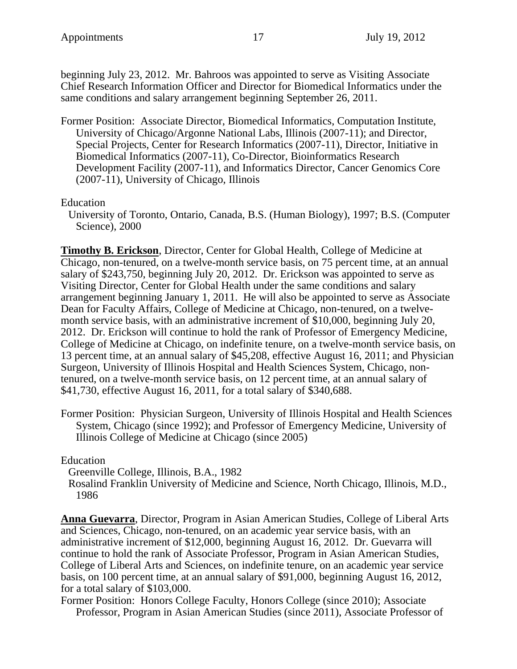beginning July 23, 2012. Mr. Bahroos was appointed to serve as Visiting Associate Chief Research Information Officer and Director for Biomedical Informatics under the same conditions and salary arrangement beginning September 26, 2011.

Former Position: Associate Director, Biomedical Informatics, Computation Institute, University of Chicago/Argonne National Labs, Illinois (2007-11); and Director, Special Projects, Center for Research Informatics (2007-11), Director, Initiative in Biomedical Informatics (2007-11), Co-Director, Bioinformatics Research Development Facility (2007-11), and Informatics Director, Cancer Genomics Core (2007-11), University of Chicago, Illinois

Education

University of Toronto, Ontario, Canada, B.S. (Human Biology), 1997; B.S. (Computer Science), 2000

**Timothy B. Erickson**, Director, Center for Global Health, College of Medicine at Chicago, non-tenured, on a twelve-month service basis, on 75 percent time, at an annual salary of \$243,750, beginning July 20, 2012. Dr. Erickson was appointed to serve as Visiting Director, Center for Global Health under the same conditions and salary arrangement beginning January 1, 2011. He will also be appointed to serve as Associate Dean for Faculty Affairs, College of Medicine at Chicago, non-tenured, on a twelvemonth service basis, with an administrative increment of \$10,000, beginning July 20, 2012. Dr. Erickson will continue to hold the rank of Professor of Emergency Medicine, College of Medicine at Chicago, on indefinite tenure, on a twelve-month service basis, on 13 percent time, at an annual salary of \$45,208, effective August 16, 2011; and Physician Surgeon, University of Illinois Hospital and Health Sciences System, Chicago, nontenured, on a twelve-month service basis, on 12 percent time, at an annual salary of \$41,730, effective August 16, 2011, for a total salary of \$340,688.

Former Position: Physician Surgeon, University of Illinois Hospital and Health Sciences System, Chicago (since 1992); and Professor of Emergency Medicine, University of Illinois College of Medicine at Chicago (since 2005)

Education

Greenville College, Illinois, B.A., 1982

Rosalind Franklin University of Medicine and Science, North Chicago, Illinois, M.D., 1986

**Anna Guevarra**, Director, Program in Asian American Studies, College of Liberal Arts and Sciences, Chicago, non-tenured, on an academic year service basis, with an administrative increment of \$12,000, beginning August 16, 2012. Dr. Guevarra will continue to hold the rank of Associate Professor, Program in Asian American Studies, College of Liberal Arts and Sciences, on indefinite tenure, on an academic year service basis, on 100 percent time, at an annual salary of \$91,000, beginning August 16, 2012, for a total salary of \$103,000.

Former Position: Honors College Faculty, Honors College (since 2010); Associate Professor, Program in Asian American Studies (since 2011), Associate Professor of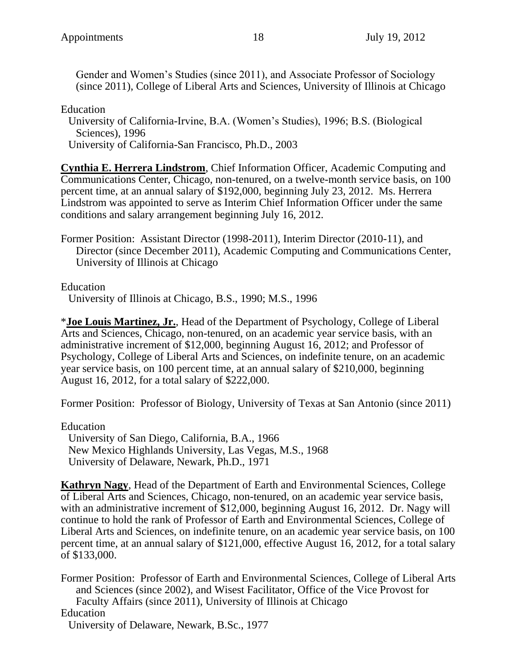Gender and Women's Studies (since 2011), and Associate Professor of Sociology (since 2011), College of Liberal Arts and Sciences, University of Illinois at Chicago

Education

University of California-Irvine, B.A. (Women's Studies), 1996; B.S. (Biological Sciences), 1996

University of California-San Francisco, Ph.D., 2003

**Cynthia E. Herrera Lindstrom**, Chief Information Officer, Academic Computing and Communications Center, Chicago, non-tenured, on a twelve-month service basis, on 100 percent time, at an annual salary of \$192,000, beginning July 23, 2012. Ms. Herrera Lindstrom was appointed to serve as Interim Chief Information Officer under the same conditions and salary arrangement beginning July 16, 2012.

Former Position: Assistant Director (1998-2011), Interim Director (2010-11), and Director (since December 2011), Academic Computing and Communications Center, University of Illinois at Chicago

Education

University of Illinois at Chicago, B.S., 1990; M.S., 1996

\***Joe Louis Martinez, Jr.**, Head of the Department of Psychology, College of Liberal Arts and Sciences, Chicago, non-tenured, on an academic year service basis, with an administrative increment of \$12,000, beginning August 16, 2012; and Professor of Psychology, College of Liberal Arts and Sciences, on indefinite tenure, on an academic year service basis, on 100 percent time, at an annual salary of \$210,000, beginning August 16, 2012, for a total salary of \$222,000.

Former Position: Professor of Biology, University of Texas at San Antonio (since 2011)

Education

University of San Diego, California, B.A., 1966 New Mexico Highlands University, Las Vegas, M.S., 1968 University of Delaware, Newark, Ph.D., 1971

**Kathryn Nagy**, Head of the Department of Earth and Environmental Sciences, College of Liberal Arts and Sciences, Chicago, non-tenured, on an academic year service basis, with an administrative increment of \$12,000, beginning August 16, 2012. Dr. Nagy will continue to hold the rank of Professor of Earth and Environmental Sciences, College of Liberal Arts and Sciences, on indefinite tenure, on an academic year service basis, on 100 percent time, at an annual salary of \$121,000, effective August 16, 2012, for a total salary of \$133,000.

Former Position: Professor of Earth and Environmental Sciences, College of Liberal Arts and Sciences (since 2002), and Wisest Facilitator, Office of the Vice Provost for Faculty Affairs (since 2011), University of Illinois at Chicago Education University of Delaware, Newark, B.Sc., 1977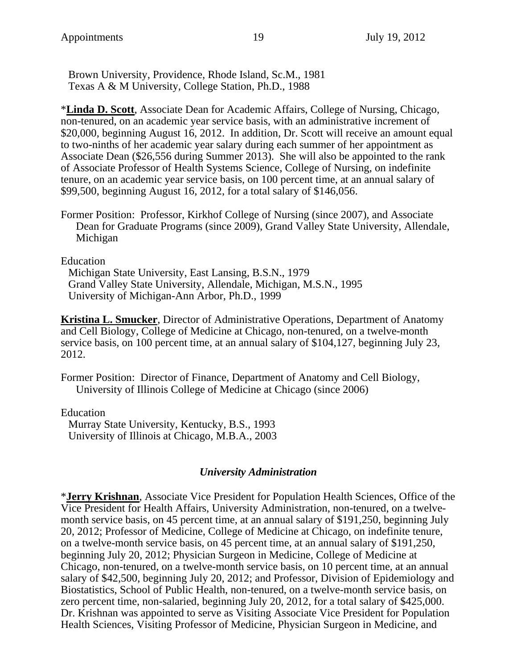Brown University, Providence, Rhode Island, Sc.M., 1981 Texas A & M University, College Station, Ph.D., 1988

\***Linda D. Scott**, Associate Dean for Academic Affairs, College of Nursing, Chicago, non-tenured, on an academic year service basis, with an administrative increment of \$20,000, beginning August 16, 2012. In addition, Dr. Scott will receive an amount equal to two-ninths of her academic year salary during each summer of her appointment as Associate Dean (\$26,556 during Summer 2013). She will also be appointed to the rank of Associate Professor of Health Systems Science, College of Nursing, on indefinite tenure, on an academic year service basis, on 100 percent time, at an annual salary of \$99,500, beginning August 16, 2012, for a total salary of \$146,056.

Former Position: Professor, Kirkhof College of Nursing (since 2007), and Associate Dean for Graduate Programs (since 2009), Grand Valley State University, Allendale, Michigan

Education

Michigan State University, East Lansing, B.S.N., 1979 Grand Valley State University, Allendale, Michigan, M.S.N., 1995 University of Michigan-Ann Arbor, Ph.D., 1999

**Kristina L. Smucker**, Director of Administrative Operations, Department of Anatomy and Cell Biology, College of Medicine at Chicago, non-tenured, on a twelve-month service basis, on 100 percent time, at an annual salary of \$104,127, beginning July 23, 2012.

Former Position: Director of Finance, Department of Anatomy and Cell Biology, University of Illinois College of Medicine at Chicago (since 2006)

Education Murray State University, Kentucky, B.S., 1993 University of Illinois at Chicago, M.B.A., 2003

#### *University Administration*

\***Jerry Krishnan**, Associate Vice President for Population Health Sciences, Office of the Vice President for Health Affairs, University Administration, non-tenured, on a twelvemonth service basis, on 45 percent time, at an annual salary of \$191,250, beginning July 20, 2012; Professor of Medicine, College of Medicine at Chicago, on indefinite tenure, on a twelve-month service basis, on 45 percent time, at an annual salary of \$191,250, beginning July 20, 2012; Physician Surgeon in Medicine, College of Medicine at Chicago, non-tenured, on a twelve-month service basis, on 10 percent time, at an annual salary of \$42,500, beginning July 20, 2012; and Professor, Division of Epidemiology and Biostatistics, School of Public Health, non-tenured, on a twelve-month service basis, on zero percent time, non-salaried, beginning July 20, 2012, for a total salary of \$425,000. Dr. Krishnan was appointed to serve as Visiting Associate Vice President for Population Health Sciences, Visiting Professor of Medicine, Physician Surgeon in Medicine, and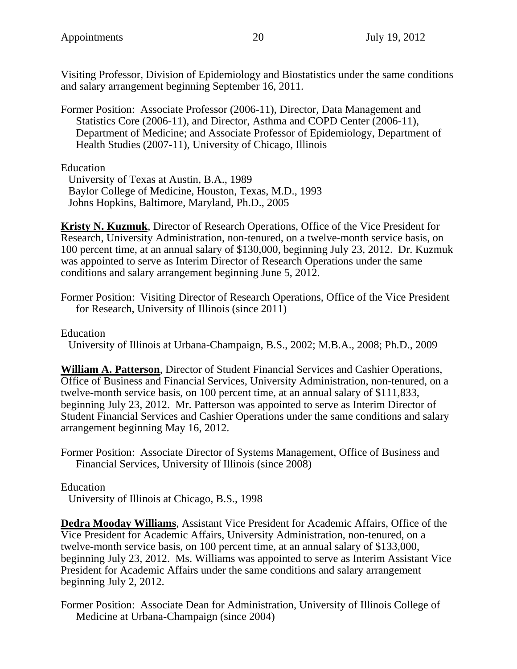Visiting Professor, Division of Epidemiology and Biostatistics under the same conditions and salary arrangement beginning September 16, 2011.

Former Position: Associate Professor (2006-11), Director, Data Management and Statistics Core (2006-11), and Director, Asthma and COPD Center (2006-11), Department of Medicine; and Associate Professor of Epidemiology, Department of Health Studies (2007-11), University of Chicago, Illinois

Education

University of Texas at Austin, B.A., 1989 Baylor College of Medicine, Houston, Texas, M.D., 1993 Johns Hopkins, Baltimore, Maryland, Ph.D., 2005

**Kristy N. Kuzmuk**, Director of Research Operations, Office of the Vice President for Research, University Administration, non-tenured, on a twelve-month service basis, on 100 percent time, at an annual salary of \$130,000, beginning July 23, 2012. Dr. Kuzmuk was appointed to serve as Interim Director of Research Operations under the same conditions and salary arrangement beginning June 5, 2012.

Former Position: Visiting Director of Research Operations, Office of the Vice President for Research, University of Illinois (since 2011)

Education

University of Illinois at Urbana-Champaign, B.S., 2002; M.B.A., 2008; Ph.D., 2009

**William A. Patterson**, Director of Student Financial Services and Cashier Operations, Office of Business and Financial Services, University Administration, non-tenured, on a twelve-month service basis, on 100 percent time, at an annual salary of \$111,833, beginning July 23, 2012. Mr. Patterson was appointed to serve as Interim Director of Student Financial Services and Cashier Operations under the same conditions and salary arrangement beginning May 16, 2012.

Former Position: Associate Director of Systems Management, Office of Business and Financial Services, University of Illinois (since 2008)

Education

University of Illinois at Chicago, B.S., 1998

**Dedra Mooday Williams**, Assistant Vice President for Academic Affairs, Office of the Vice President for Academic Affairs, University Administration, non-tenured, on a twelve-month service basis, on 100 percent time, at an annual salary of \$133,000, beginning July 23, 2012. Ms. Williams was appointed to serve as Interim Assistant Vice President for Academic Affairs under the same conditions and salary arrangement beginning July 2, 2012.

Former Position: Associate Dean for Administration, University of Illinois College of Medicine at Urbana-Champaign (since 2004)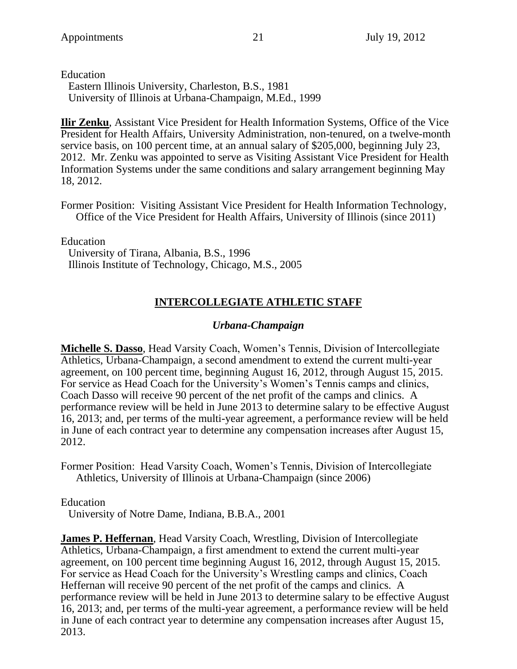Education

Eastern Illinois University, Charleston, B.S., 1981 University of Illinois at Urbana-Champaign, M.Ed., 1999

**Ilir Zenku**, Assistant Vice President for Health Information Systems, Office of the Vice President for Health Affairs, University Administration, non-tenured, on a twelve-month service basis, on 100 percent time, at an annual salary of \$205,000, beginning July 23, 2012. Mr. Zenku was appointed to serve as Visiting Assistant Vice President for Health Information Systems under the same conditions and salary arrangement beginning May 18, 2012.

Former Position: Visiting Assistant Vice President for Health Information Technology, Office of the Vice President for Health Affairs, University of Illinois (since 2011)

Education

University of Tirana, Albania, B.S., 1996 Illinois Institute of Technology, Chicago, M.S., 2005

# **INTERCOLLEGIATE ATHLETIC STAFF**

#### *Urbana-Champaign*

**Michelle S. Dasso**, Head Varsity Coach, Women's Tennis, Division of Intercollegiate Athletics, Urbana-Champaign, a second amendment to extend the current multi-year agreement, on 100 percent time, beginning August 16, 2012, through August 15, 2015. For service as Head Coach for the University's Women's Tennis camps and clinics, Coach Dasso will receive 90 percent of the net profit of the camps and clinics. A performance review will be held in June 2013 to determine salary to be effective August 16, 2013; and, per terms of the multi-year agreement, a performance review will be held in June of each contract year to determine any compensation increases after August 15, 2012.

Former Position: Head Varsity Coach, Women's Tennis, Division of Intercollegiate Athletics, University of Illinois at Urbana-Champaign (since 2006)

Education

University of Notre Dame, Indiana, B.B.A., 2001

**James P. Heffernan**, Head Varsity Coach, Wrestling, Division of Intercollegiate Athletics, Urbana-Champaign, a first amendment to extend the current multi-year agreement, on 100 percent time beginning August 16, 2012, through August 15, 2015. For service as Head Coach for the University's Wrestling camps and clinics, Coach Heffernan will receive 90 percent of the net profit of the camps and clinics. A performance review will be held in June 2013 to determine salary to be effective August 16, 2013; and, per terms of the multi-year agreement, a performance review will be held in June of each contract year to determine any compensation increases after August 15, 2013.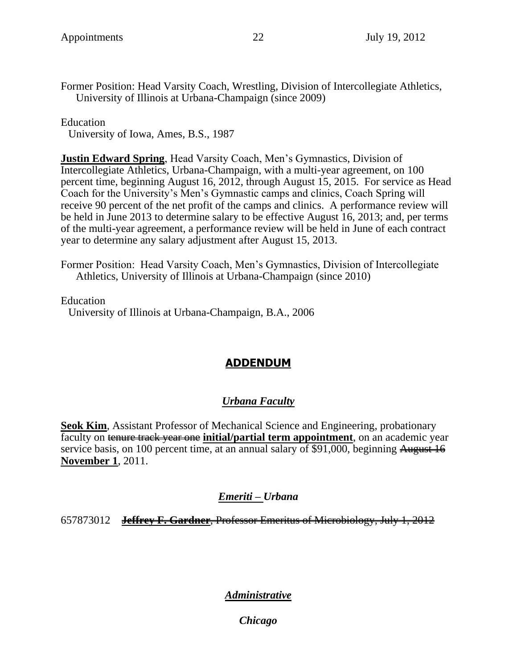Former Position: Head Varsity Coach, Wrestling, Division of Intercollegiate Athletics, University of Illinois at Urbana-Champaign (since 2009)

Education

University of Iowa, Ames, B.S., 1987

**Justin Edward Spring**, Head Varsity Coach, Men's Gymnastics, Division of Intercollegiate Athletics, Urbana-Champaign, with a multi-year agreement, on 100 percent time, beginning August 16, 2012, through August 15, 2015. For service as Head Coach for the University's Men's Gymnastic camps and clinics, Coach Spring will receive 90 percent of the net profit of the camps and clinics. A performance review will be held in June 2013 to determine salary to be effective August 16, 2013; and, per terms of the multi-year agreement, a performance review will be held in June of each contract year to determine any salary adjustment after August 15, 2013.

Former Position: Head Varsity Coach, Men's Gymnastics, Division of Intercollegiate Athletics, University of Illinois at Urbana-Champaign (since 2010)

Education University of Illinois at Urbana-Champaign, B.A., 2006

# **ADDENDUM**

### *Urbana Faculty*

**Seok Kim**, Assistant Professor of Mechanical Science and Engineering, probationary faculty on tenure track year one **initial/partial term appointment**, on an academic year service basis, on 100 percent time, at an annual salary of \$91,000, beginning August 16 **November 1**, 2011.

#### *Emeriti – Urbana*

657873012 **Jeffrey F. Gardner**, Professor Emeritus of Microbiology, July 1, 2012

### *Administrative*

*Chicago*